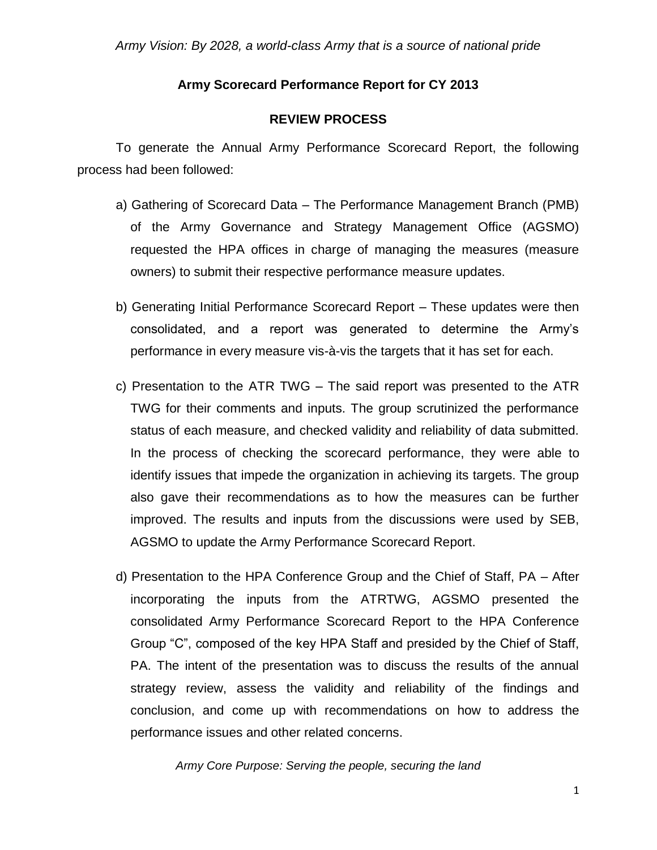#### **Army Scorecard Performance Report for CY 2013**

#### **REVIEW PROCESS**

To generate the Annual Army Performance Scorecard Report, the following process had been followed:

- a) Gathering of Scorecard Data The Performance Management Branch (PMB) of the Army Governance and Strategy Management Office (AGSMO) requested the HPA offices in charge of managing the measures (measure owners) to submit their respective performance measure updates.
- b) Generating Initial Performance Scorecard Report These updates were then consolidated, and a report was generated to determine the Army's performance in every measure vis-à-vis the targets that it has set for each.
- c) Presentation to the ATR TWG The said report was presented to the ATR TWG for their comments and inputs. The group scrutinized the performance status of each measure, and checked validity and reliability of data submitted. In the process of checking the scorecard performance, they were able to identify issues that impede the organization in achieving its targets. The group also gave their recommendations as to how the measures can be further improved. The results and inputs from the discussions were used by SEB, AGSMO to update the Army Performance Scorecard Report.
- d) Presentation to the HPA Conference Group and the Chief of Staff, PA After incorporating the inputs from the ATRTWG, AGSMO presented the consolidated Army Performance Scorecard Report to the HPA Conference Group "C", composed of the key HPA Staff and presided by the Chief of Staff, PA. The intent of the presentation was to discuss the results of the annual strategy review, assess the validity and reliability of the findings and conclusion, and come up with recommendations on how to address the performance issues and other related concerns.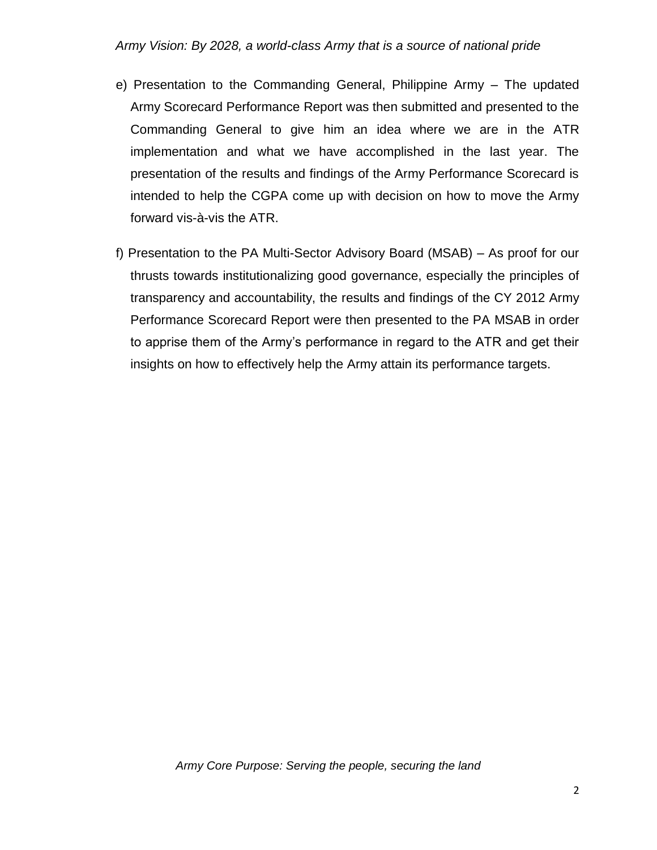- e) Presentation to the Commanding General, Philippine Army The updated Army Scorecard Performance Report was then submitted and presented to the Commanding General to give him an idea where we are in the ATR implementation and what we have accomplished in the last year. The presentation of the results and findings of the Army Performance Scorecard is intended to help the CGPA come up with decision on how to move the Army forward vis-à-vis the ATR.
- f) Presentation to the PA Multi-Sector Advisory Board (MSAB) As proof for our thrusts towards institutionalizing good governance, especially the principles of transparency and accountability, the results and findings of the CY 2012 Army Performance Scorecard Report were then presented to the PA MSAB in order to apprise them of the Army's performance in regard to the ATR and get their insights on how to effectively help the Army attain its performance targets.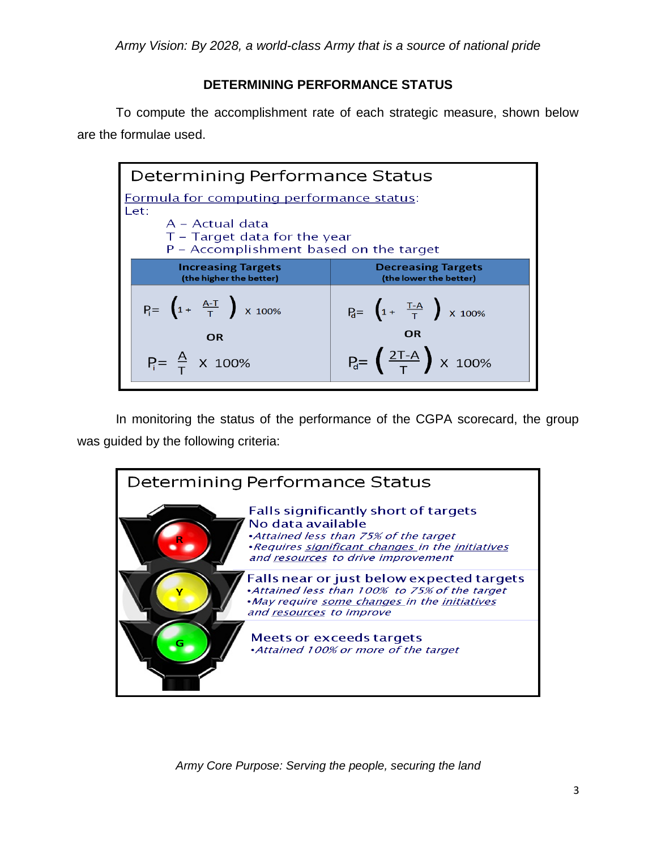## **DETERMINING PERFORMANCE STATUS**

To compute the accomplishment rate of each strategic measure, shown below are the formulae used.

| Determining Performance Status                                                                |                                                             |
|-----------------------------------------------------------------------------------------------|-------------------------------------------------------------|
| Formula for computing performance status:<br>Let:                                             |                                                             |
| $A - Actual$ data<br>$T$ – Target data for the year<br>P – Accomplishment based on the target |                                                             |
| <b>Increasing Targets</b><br>(the higher the better)                                          | <b>Decreasing Targets</b><br>(the lower the better)         |
| $P_i = \left(1 + \frac{A-T}{T}\right) \times 100\%$                                           | $P_{d} = \left(1 + \frac{T-A}{T}\right) \times 100\%$<br>OR |
| OR<br>$P_i = \frac{A}{T}$ X 100%                                                              | $P_d = \frac{2T-A}{T}$ x 100%                               |

In monitoring the status of the performance of the CGPA scorecard, the group was guided by the following criteria:

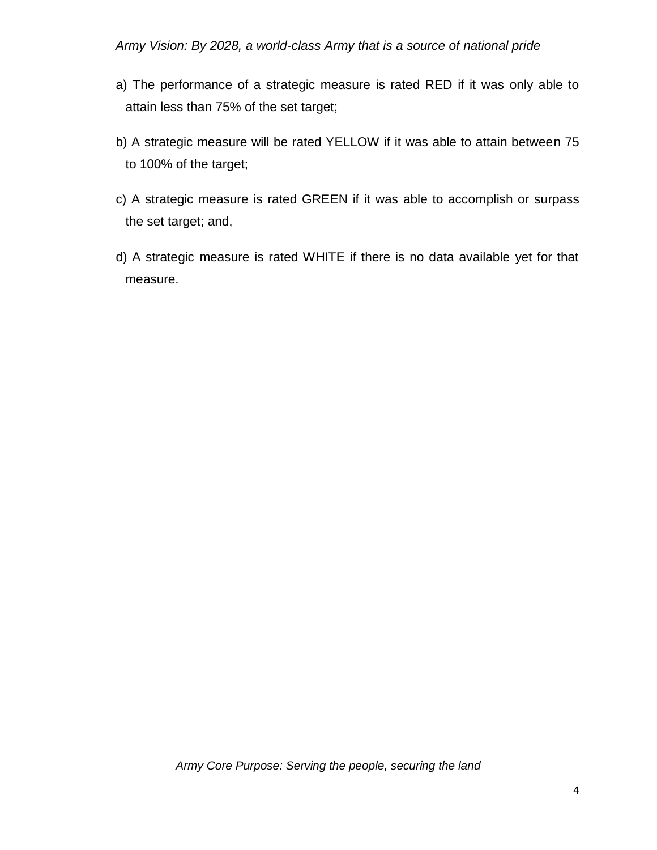- a) The performance of a strategic measure is rated RED if it was only able to attain less than 75% of the set target;
- b) A strategic measure will be rated YELLOW if it was able to attain between 75 to 100% of the target;
- c) A strategic measure is rated GREEN if it was able to accomplish or surpass the set target; and,
- d) A strategic measure is rated WHITE if there is no data available yet for that measure.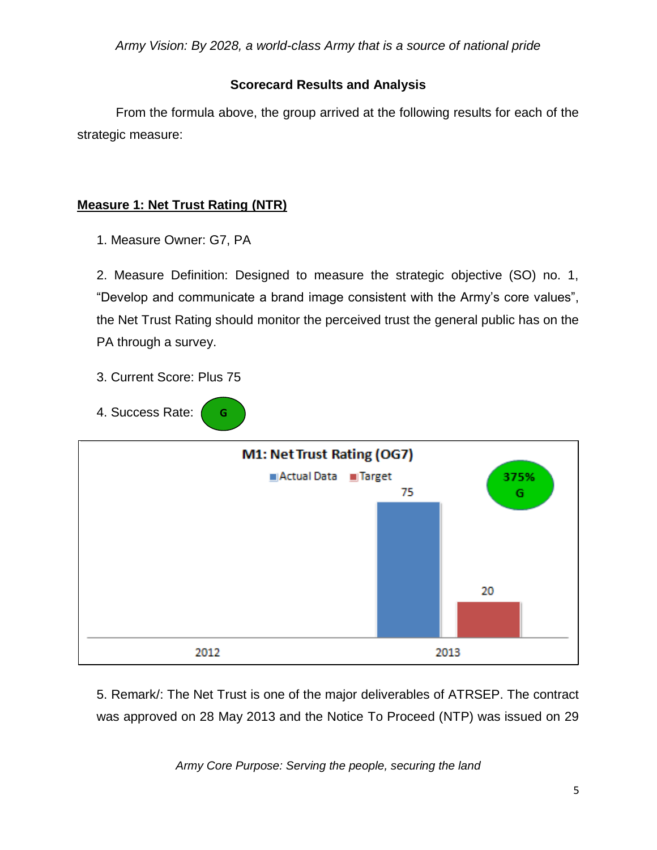## **Scorecard Results and Analysis**

From the formula above, the group arrived at the following results for each of the strategic measure:

# **Measure 1: Net Trust Rating (NTR)**

1. Measure Owner: G7, PA

2. Measure Definition: Designed to measure the strategic objective (SO) no. 1, "Develop and communicate a brand image consistent with the Army's core values", the Net Trust Rating should monitor the perceived trust the general public has on the PA through a survey.

3. Current Score: Plus 75

**G**

4. Success Rate:



5. Remark/: The Net Trust is one of the major deliverables of ATRSEP. The contract was approved on 28 May 2013 and the Notice To Proceed (NTP) was issued on 29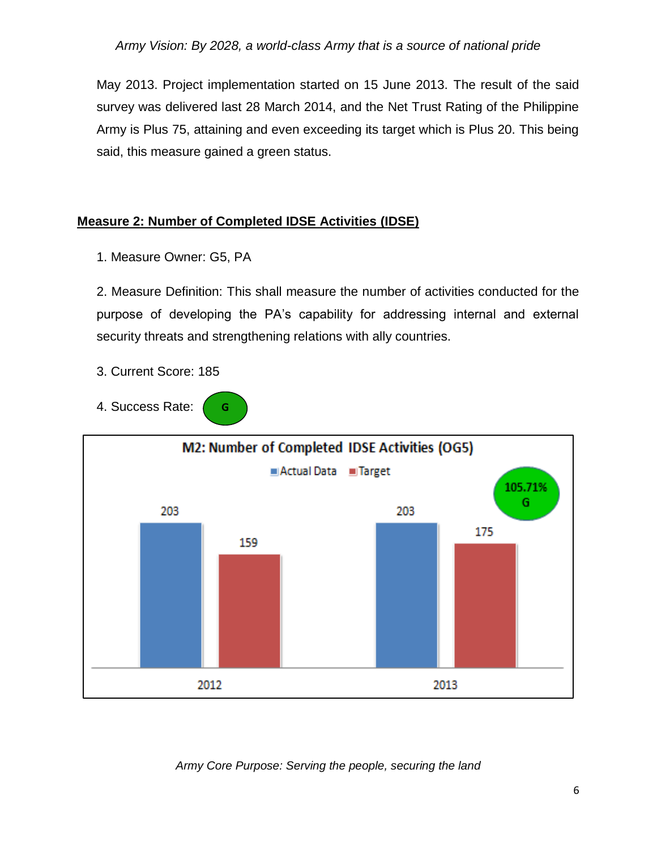May 2013. Project implementation started on 15 June 2013. The result of the said survey was delivered last 28 March 2014, and the Net Trust Rating of the Philippine Army is Plus 75, attaining and even exceeding its target which is Plus 20. This being said, this measure gained a green status.

### **Measure 2: Number of Completed IDSE Activities (IDSE)**

1. Measure Owner: G5, PA

2. Measure Definition: This shall measure the number of activities conducted for the purpose of developing the PA's capability for addressing internal and external security threats and strengthening relations with ally countries.

- 3. Current Score: 185
- 4. Success Rate: **G**

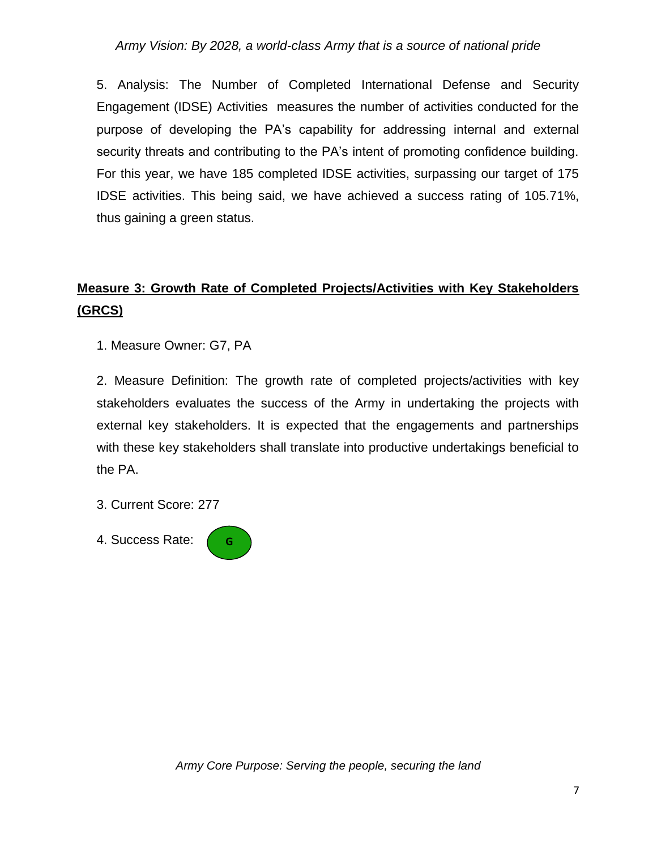5. Analysis: The Number of Completed International Defense and Security Engagement (IDSE) Activities measures the number of activities conducted for the purpose of developing the PA's capability for addressing internal and external security threats and contributing to the PA's intent of promoting confidence building. For this year, we have 185 completed IDSE activities, surpassing our target of 175 IDSE activities. This being said, we have achieved a success rating of 105.71%, thus gaining a green status.

# **Measure 3: Growth Rate of Completed Projects/Activities with Key Stakeholders (GRCS)**

1. Measure Owner: G7, PA

2. Measure Definition: The growth rate of completed projects/activities with key stakeholders evaluates the success of the Army in undertaking the projects with external key stakeholders. It is expected that the engagements and partnerships with these key stakeholders shall translate into productive undertakings beneficial to the PA.

3. Current Score: 277

4. Success Rate: **G**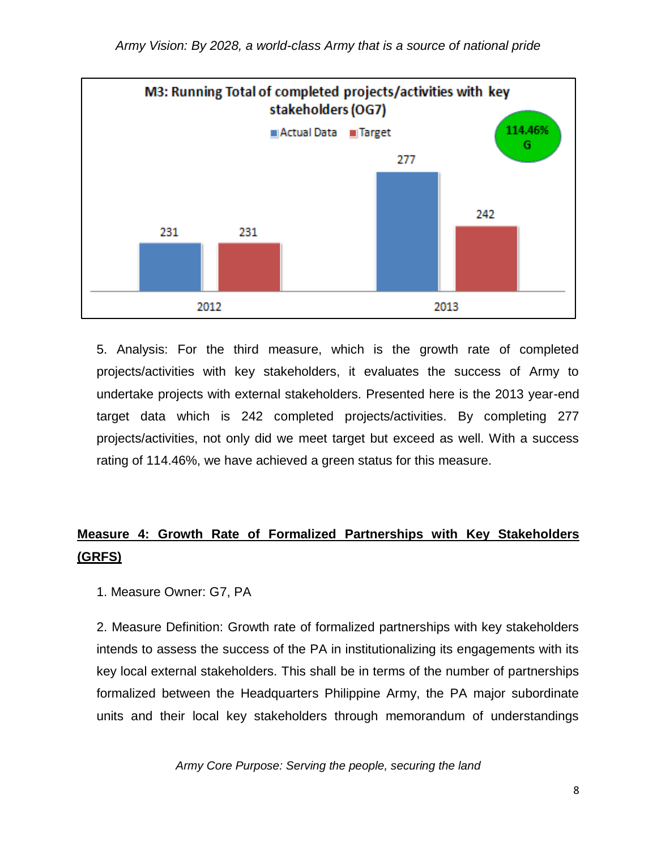

5. Analysis: For the third measure, which is the growth rate of completed projects/activities with key stakeholders, it evaluates the success of Army to undertake projects with external stakeholders. Presented here is the 2013 year-end target data which is 242 completed projects/activities. By completing 277 projects/activities, not only did we meet target but exceed as well. With a success rating of 114.46%, we have achieved a green status for this measure.

# **Measure 4: Growth Rate of Formalized Partnerships with Key Stakeholders (GRFS)**

1. Measure Owner: G7, PA

2. Measure Definition: Growth rate of formalized partnerships with key stakeholders intends to assess the success of the PA in institutionalizing its engagements with its key local external stakeholders. This shall be in terms of the number of partnerships formalized between the Headquarters Philippine Army, the PA major subordinate units and their local key stakeholders through memorandum of understandings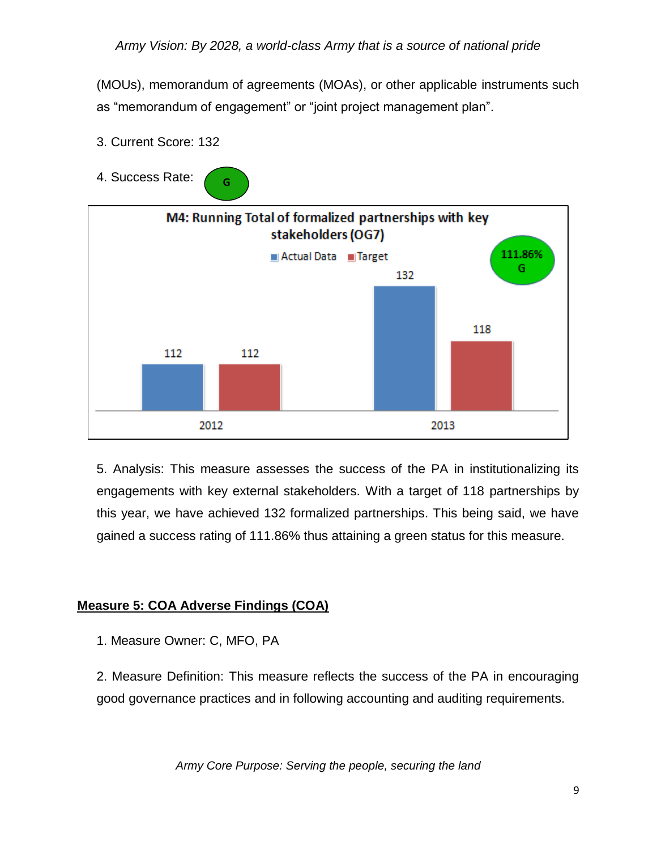(MOUs), memorandum of agreements (MOAs), or other applicable instruments such as "memorandum of engagement" or "joint project management plan".



3. Current Score: 132

5. Analysis: This measure assesses the success of the PA in institutionalizing its engagements with key external stakeholders. With a target of 118 partnerships by this year, we have achieved 132 formalized partnerships. This being said, we have gained a success rating of 111.86% thus attaining a green status for this measure.

## **Measure 5: COA Adverse Findings (COA)**

1. Measure Owner: C, MFO, PA

2. Measure Definition: This measure reflects the success of the PA in encouraging good governance practices and in following accounting and auditing requirements.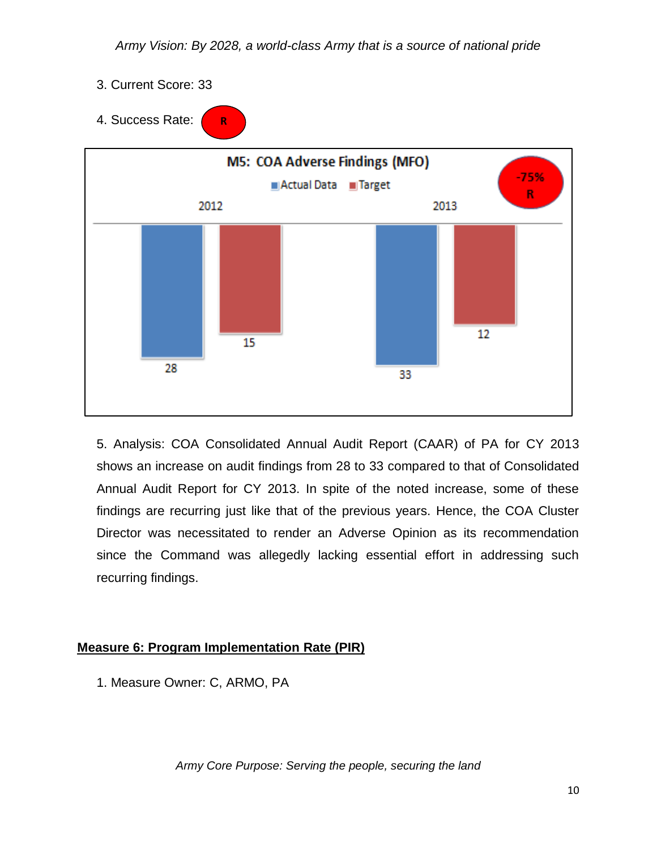3. Current Score: 33



5. Analysis: COA Consolidated Annual Audit Report (CAAR) of PA for CY 2013 shows an increase on audit findings from 28 to 33 compared to that of Consolidated Annual Audit Report for CY 2013. In spite of the noted increase, some of these findings are recurring just like that of the previous years. Hence, the COA Cluster Director was necessitated to render an Adverse Opinion as its recommendation since the Command was allegedly lacking essential effort in addressing such recurring findings.

## **Measure 6: Program Implementation Rate (PIR)**

1. Measure Owner: C, ARMO, PA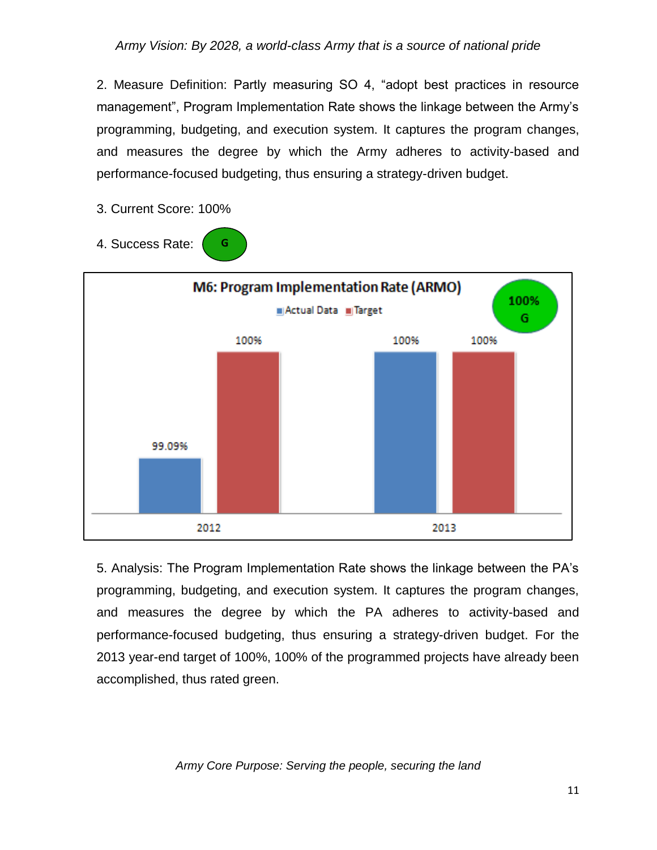2. Measure Definition: Partly measuring SO 4, "adopt best practices in resource management", Program Implementation Rate shows the linkage between the Army's programming, budgeting, and execution system. It captures the program changes, and measures the degree by which the Army adheres to activity-based and performance-focused budgeting, thus ensuring a strategy-driven budget.

3. Current Score: 100%

**G**

4. Success Rate:



5. Analysis: The Program Implementation Rate shows the linkage between the PA's programming, budgeting, and execution system. It captures the program changes, and measures the degree by which the PA adheres to activity-based and performance-focused budgeting, thus ensuring a strategy-driven budget. For the 2013 year-end target of 100%, 100% of the programmed projects have already been accomplished, thus rated green.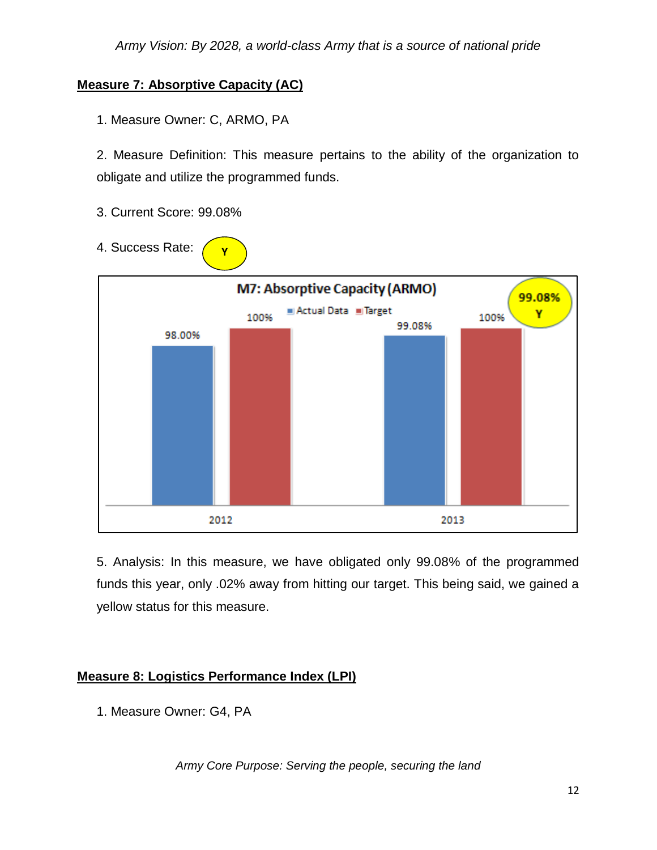## **Measure 7: Absorptive Capacity (AC)**

1. Measure Owner: C, ARMO, PA

2. Measure Definition: This measure pertains to the ability of the organization to obligate and utilize the programmed funds.

- 3. Current Score: 99.08%
- 4. Success Rate: **Y**



5. Analysis: In this measure, we have obligated only 99.08% of the programmed funds this year, only .02% away from hitting our target. This being said, we gained a yellow status for this measure.

## **Measure 8: Logistics Performance Index (LPI)**

1. Measure Owner: G4, PA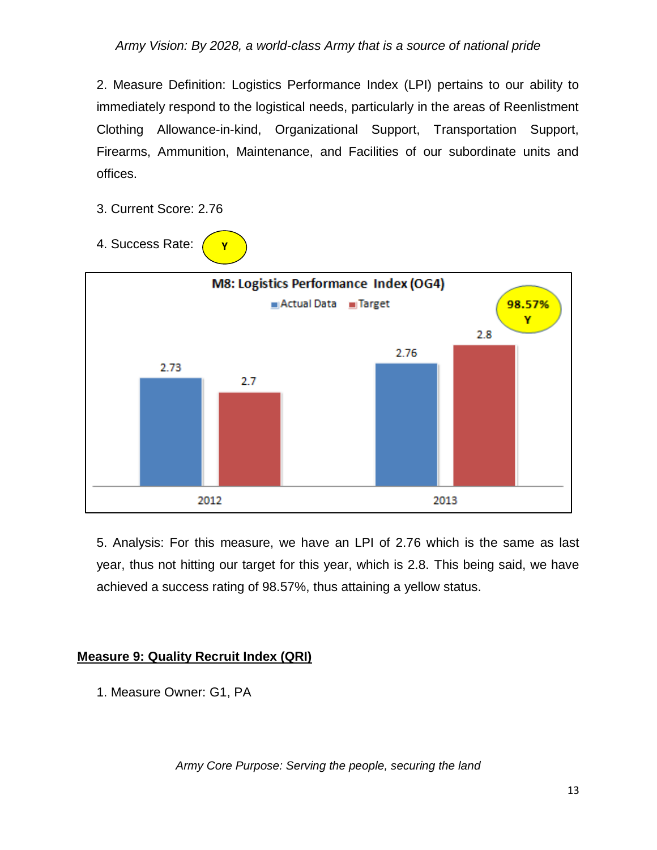2. Measure Definition: Logistics Performance Index (LPI) pertains to our ability to immediately respond to the logistical needs, particularly in the areas of Reenlistment Clothing Allowance-in-kind, Organizational Support, Transportation Support, Firearms, Ammunition, Maintenance, and Facilities of our subordinate units and offices.

- 3. Current Score: 2.76
- 4. Success Rate:

**Y**



5. Analysis: For this measure, we have an LPI of 2.76 which is the same as last year, thus not hitting our target for this year, which is 2.8. This being said, we have achieved a success rating of 98.57%, thus attaining a yellow status.

#### **Measure 9: Quality Recruit Index (QRI)**

1. Measure Owner: G1, PA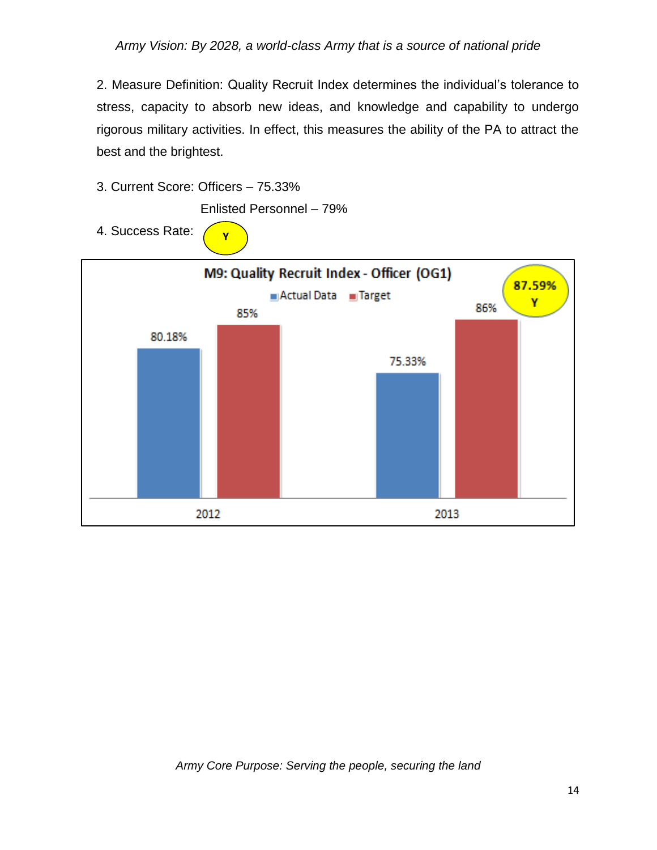2. Measure Definition: Quality Recruit Index determines the individual's tolerance to stress, capacity to absorb new ideas, and knowledge and capability to undergo rigorous military activities. In effect, this measures the ability of the PA to attract the best and the brightest.

3. Current Score: Officers – 75.33%

Enlisted Personnel – 79%

4. Success Rate:  $\bigcap_{\mathbf{Y}}$ 

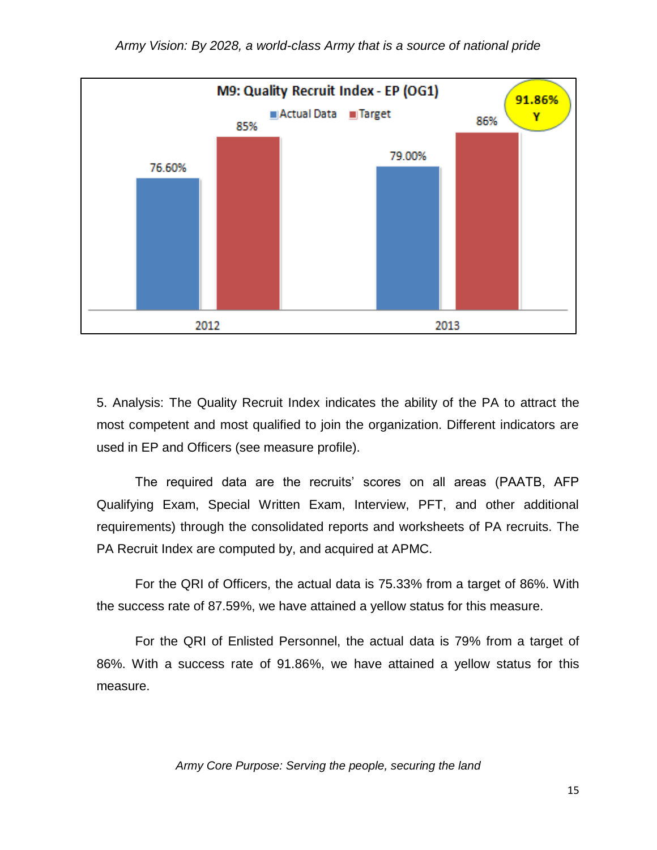

5. Analysis: The Quality Recruit Index indicates the ability of the PA to attract the most competent and most qualified to join the organization. Different indicators are used in EP and Officers (see measure profile).

The required data are the recruits' scores on all areas (PAATB, AFP Qualifying Exam, Special Written Exam, Interview, PFT, and other additional requirements) through the consolidated reports and worksheets of PA recruits. The PA Recruit Index are computed by, and acquired at APMC.

For the QRI of Officers, the actual data is 75.33% from a target of 86%. With the success rate of 87.59%, we have attained a yellow status for this measure.

For the QRI of Enlisted Personnel, the actual data is 79% from a target of 86%. With a success rate of 91.86%, we have attained a yellow status for this measure.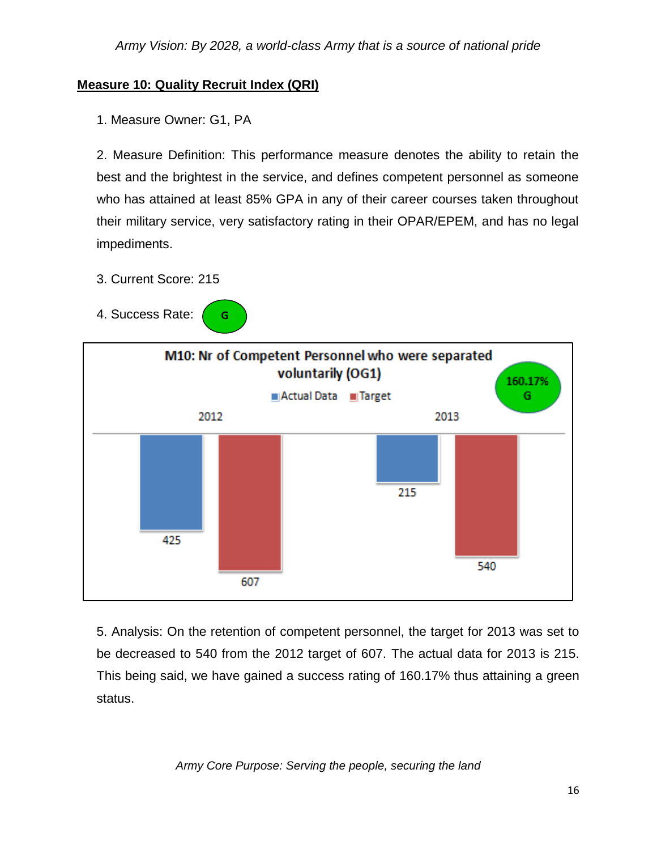## **Measure 10: Quality Recruit Index (QRI)**

1. Measure Owner: G1, PA

2. Measure Definition: This performance measure denotes the ability to retain the best and the brightest in the service, and defines competent personnel as someone who has attained at least 85% GPA in any of their career courses taken throughout their military service, very satisfactory rating in their OPAR/EPEM, and has no legal impediments.

- 3. Current Score: 215
- 4. Success Rate: **G**



5. Analysis: On the retention of competent personnel, the target for 2013 was set to be decreased to 540 from the 2012 target of 607. The actual data for 2013 is 215. This being said, we have gained a success rating of 160.17% thus attaining a green status.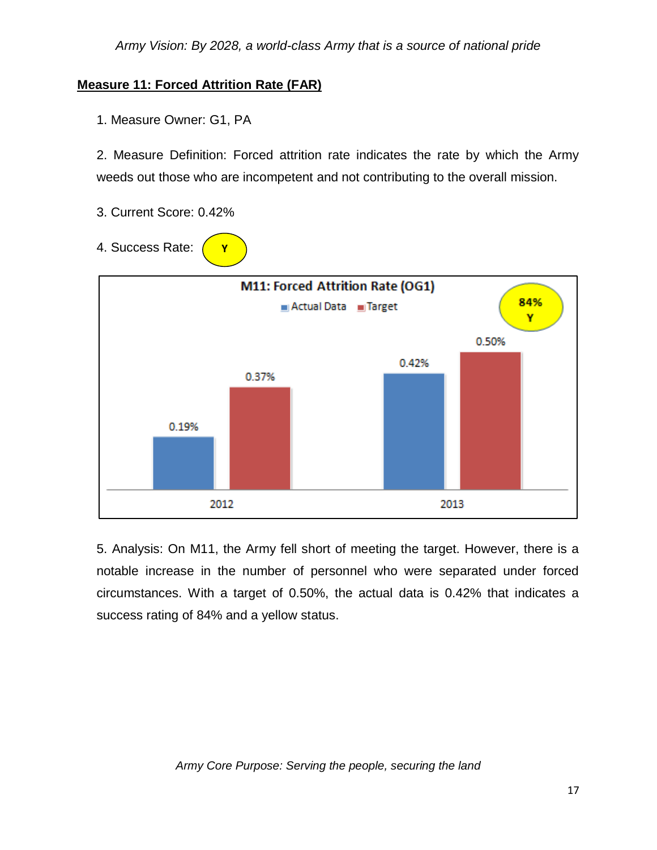## **Measure 11: Forced Attrition Rate (FAR)**

1. Measure Owner: G1, PA

2. Measure Definition: Forced attrition rate indicates the rate by which the Army weeds out those who are incompetent and not contributing to the overall mission.

- 3. Current Score: 0.42%
- 4. Success Rate: **Y**



5. Analysis: On M11, the Army fell short of meeting the target. However, there is a notable increase in the number of personnel who were separated under forced circumstances. With a target of 0.50%, the actual data is 0.42% that indicates a success rating of 84% and a yellow status.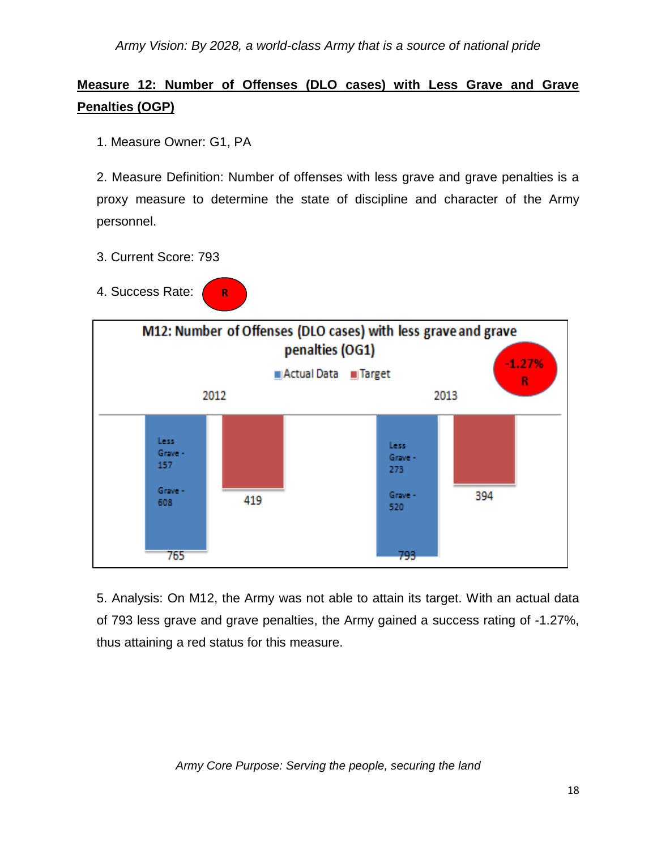# **Measure 12: Number of Offenses (DLO cases) with Less Grave and Grave Penalties (OGP)**

1. Measure Owner: G1, PA

2. Measure Definition: Number of offenses with less grave and grave penalties is a proxy measure to determine the state of discipline and character of the Army personnel.

- 3. Current Score: 793
- 4. Success Rate: **R**



5. Analysis: On M12, the Army was not able to attain its target. With an actual data of 793 less grave and grave penalties, the Army gained a success rating of -1.27%, thus attaining a red status for this measure.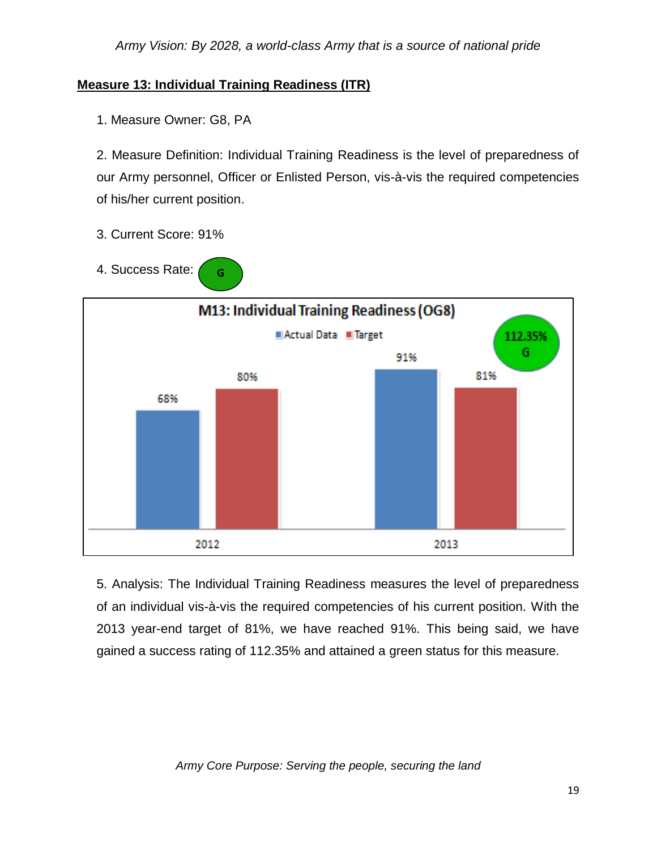# **Measure 13: Individual Training Readiness (ITR)**

**G**

1. Measure Owner: G8, PA

2. Measure Definition: Individual Training Readiness is the level of preparedness of our Army personnel, Officer or Enlisted Person, vis-à-vis the required competencies of his/her current position.

- 3. Current Score: 91%
- 4. Success Rate:



5. Analysis: The Individual Training Readiness measures the level of preparedness of an individual vis-à-vis the required competencies of his current position. With the 2013 year-end target of 81%, we have reached 91%. This being said, we have gained a success rating of 112.35% and attained a green status for this measure.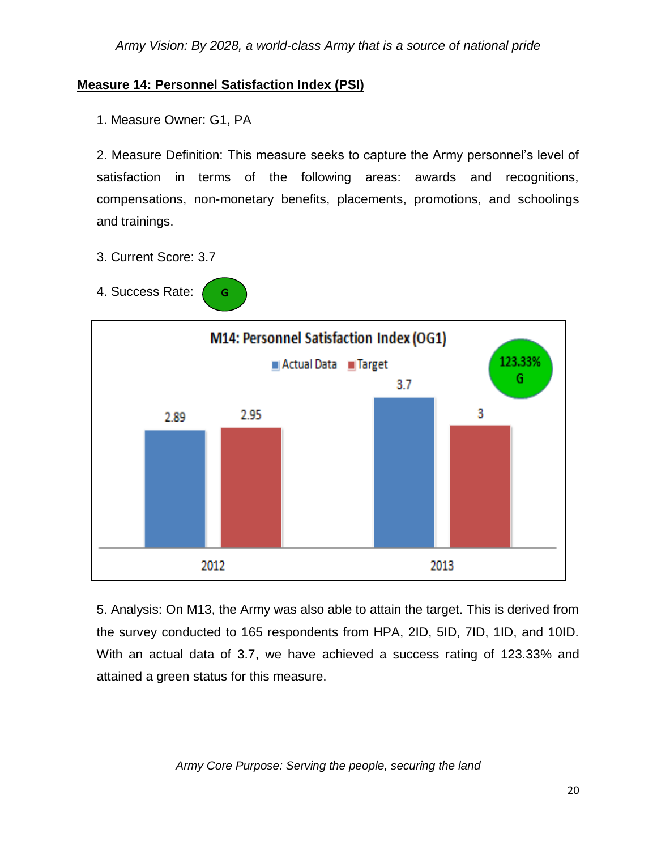## **Measure 14: Personnel Satisfaction Index (PSI)**

1. Measure Owner: G1, PA

2. Measure Definition: This measure seeks to capture the Army personnel's level of satisfaction in terms of the following areas: awards and recognitions, compensations, non-monetary benefits, placements, promotions, and schoolings and trainings.

- 3. Current Score: 3.7
- 4. Success Rate: **G**



5. Analysis: On M13, the Army was also able to attain the target. This is derived from the survey conducted to 165 respondents from HPA, 2ID, 5ID, 7ID, 1ID, and 10ID. With an actual data of 3.7, we have achieved a success rating of 123.33% and attained a green status for this measure.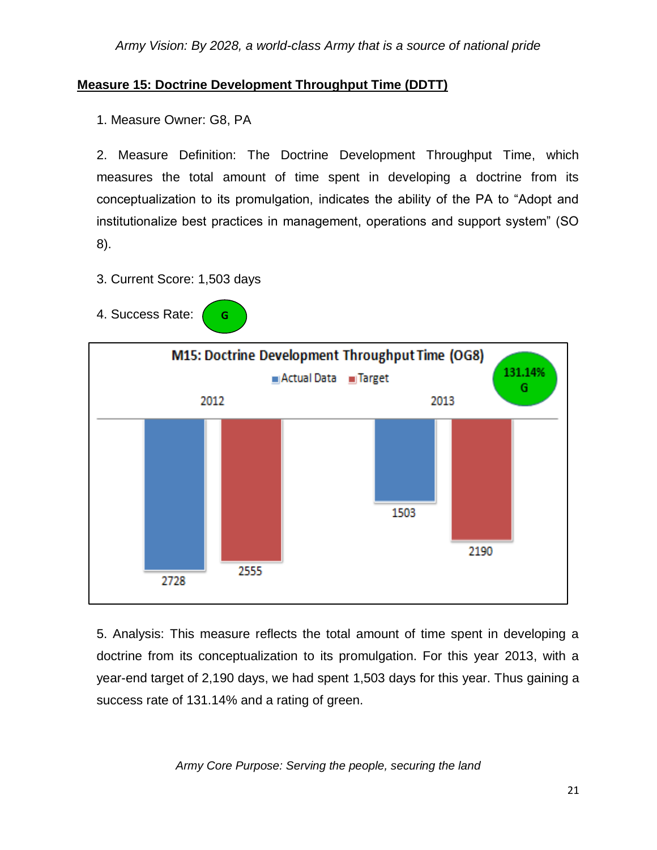## **Measure 15: Doctrine Development Throughput Time (DDTT)**

1. Measure Owner: G8, PA

2. Measure Definition: The Doctrine Development Throughput Time, which measures the total amount of time spent in developing a doctrine from its conceptualization to its promulgation, indicates the ability of the PA to "Adopt and institutionalize best practices in management, operations and support system" (SO 8).

3. Current Score: 1,503 days

**G**

4. Success Rate:



5. Analysis: This measure reflects the total amount of time spent in developing a doctrine from its conceptualization to its promulgation. For this year 2013, with a year-end target of 2,190 days, we had spent 1,503 days for this year. Thus gaining a success rate of 131.14% and a rating of green.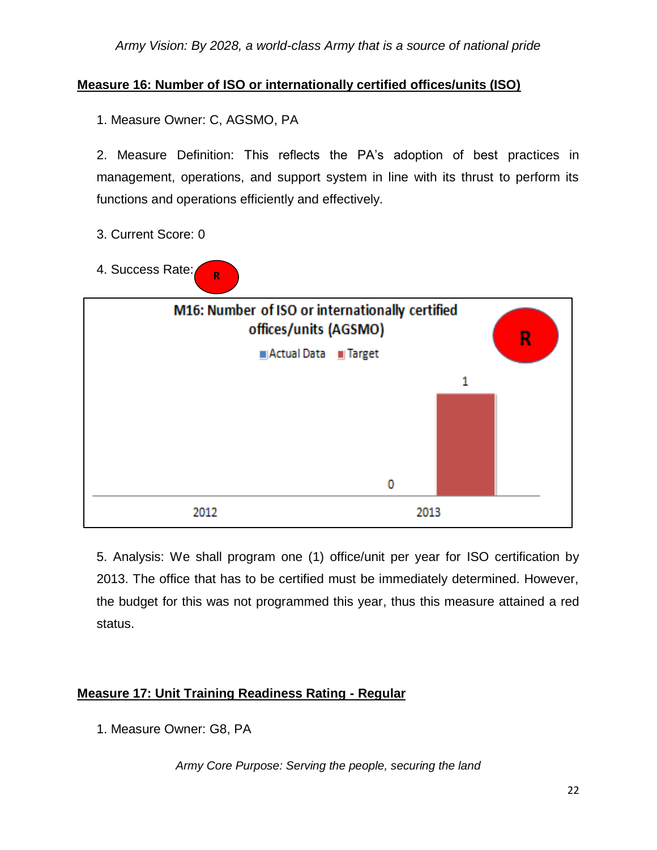# **Measure 16: Number of ISO or internationally certified offices/units (ISO)**

1. Measure Owner: C, AGSMO, PA

2. Measure Definition: This reflects the PA's adoption of best practices in management, operations, and support system in line with its thrust to perform its functions and operations efficiently and effectively.

- 3. Current Score: 0
- 4. Success Rate: **R**



5. Analysis: We shall program one (1) office/unit per year for ISO certification by 2013. The office that has to be certified must be immediately determined. However, the budget for this was not programmed this year, thus this measure attained a red status.

# **Measure 17: Unit Training Readiness Rating - Regular**

1. Measure Owner: G8, PA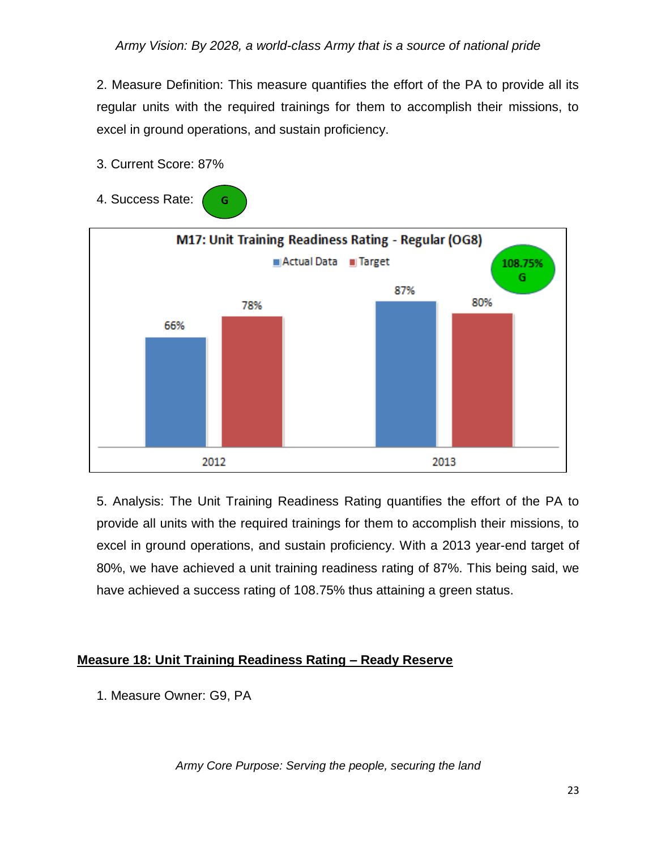2. Measure Definition: This measure quantifies the effort of the PA to provide all its regular units with the required trainings for them to accomplish their missions, to excel in ground operations, and sustain proficiency.

3. Current Score: 87%

**G**

4. Success Rate:



5. Analysis: The Unit Training Readiness Rating quantifies the effort of the PA to provide all units with the required trainings for them to accomplish their missions, to excel in ground operations, and sustain proficiency. With a 2013 year-end target of 80%, we have achieved a unit training readiness rating of 87%. This being said, we have achieved a success rating of 108.75% thus attaining a green status.

## **Measure 18: Unit Training Readiness Rating – Ready Reserve**

1. Measure Owner: G9, PA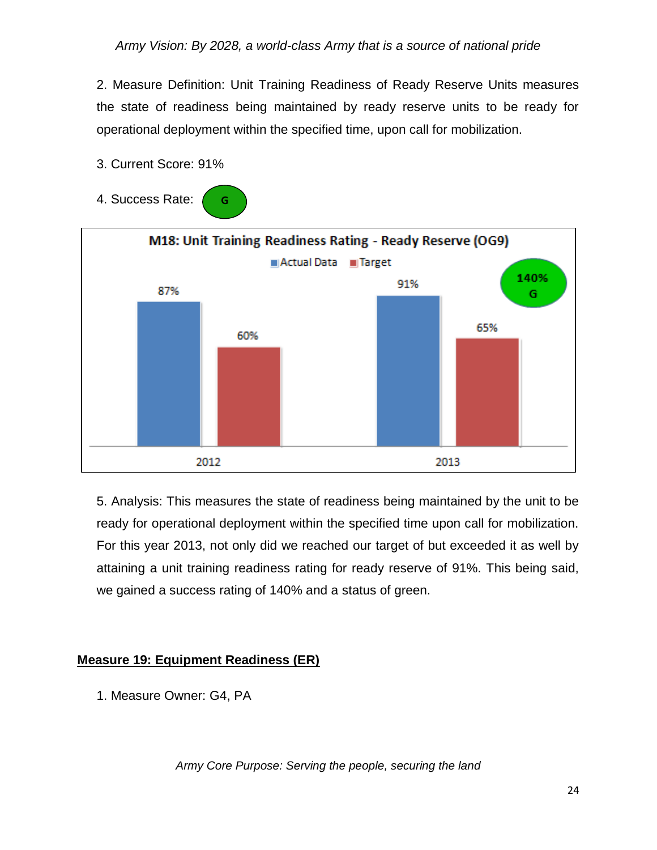2. Measure Definition: Unit Training Readiness of Ready Reserve Units measures the state of readiness being maintained by ready reserve units to be ready for operational deployment within the specified time, upon call for mobilization.

3. Current Score: 91%

**G**

4. Success Rate:



5. Analysis: This measures the state of readiness being maintained by the unit to be ready for operational deployment within the specified time upon call for mobilization. For this year 2013, not only did we reached our target of but exceeded it as well by attaining a unit training readiness rating for ready reserve of 91%. This being said, we gained a success rating of 140% and a status of green.

## **Measure 19: Equipment Readiness (ER)**

1. Measure Owner: G4, PA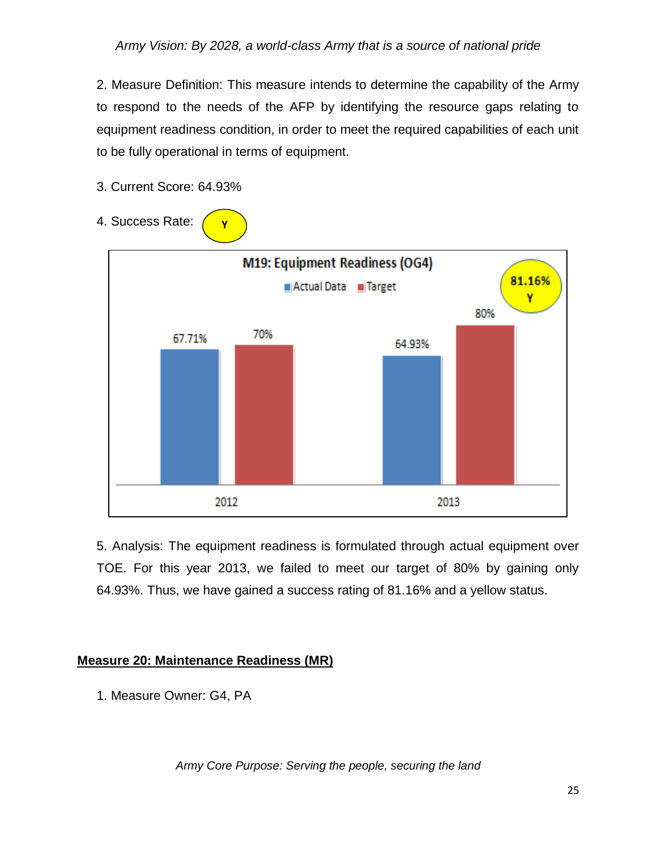2. Measure Definition: This measure intends to determine the capability of the Army to respond to the needs of the AFP by identifying the resource gaps relating to equipment readiness condition, in order to meet the required capabilities of each unit to be fully operational in terms of equipment.

- 4. Success Rate: **Y**M19: Equipment Readiness (OG4) 81.16% Actual Data **Flarget** Υ 80% 70% 67.71% 64.93% 2012 2013
- 3. Current Score: 64.93%

5. Analysis: The equipment readiness is formulated through actual equipment over TOE. For this year 2013, we failed to meet our target of 80% by gaining only 64.93%. Thus, we have gained a success rating of 81.16% and a yellow status.

#### **Measure 20: Maintenance Readiness (MR)**

1. Measure Owner: G4, PA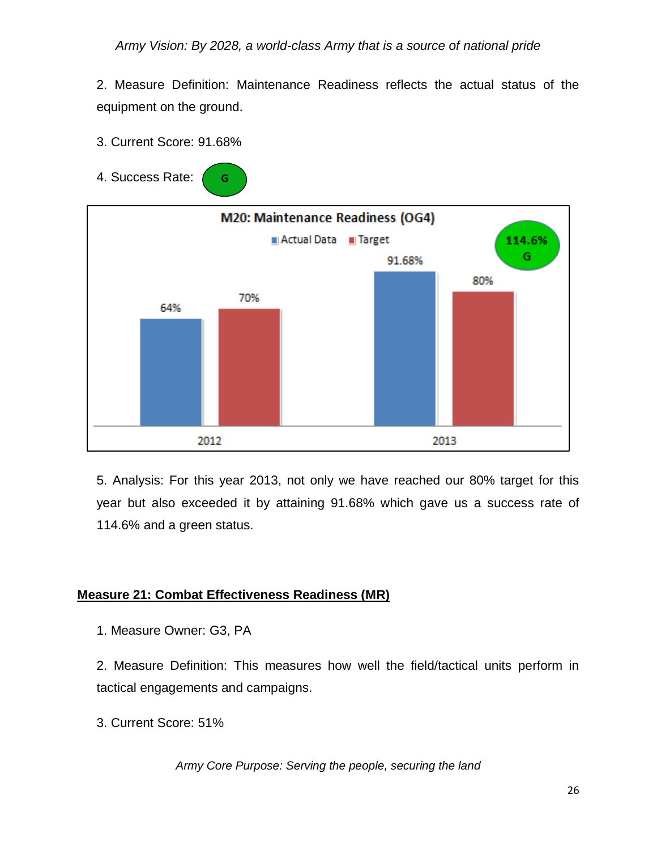2. Measure Definition: Maintenance Readiness reflects the actual status of the equipment on the ground.

- 3. Current Score: 91.68%
- 4. Success Rate: **G**



5. Analysis: For this year 2013, not only we have reached our 80% target for this year but also exceeded it by attaining 91.68% which gave us a success rate of 114.6% and a green status.

# **Measure 21: Combat Effectiveness Readiness (MR)**

1. Measure Owner: G3, PA

2. Measure Definition: This measures how well the field/tactical units perform in tactical engagements and campaigns.

3. Current Score: 51%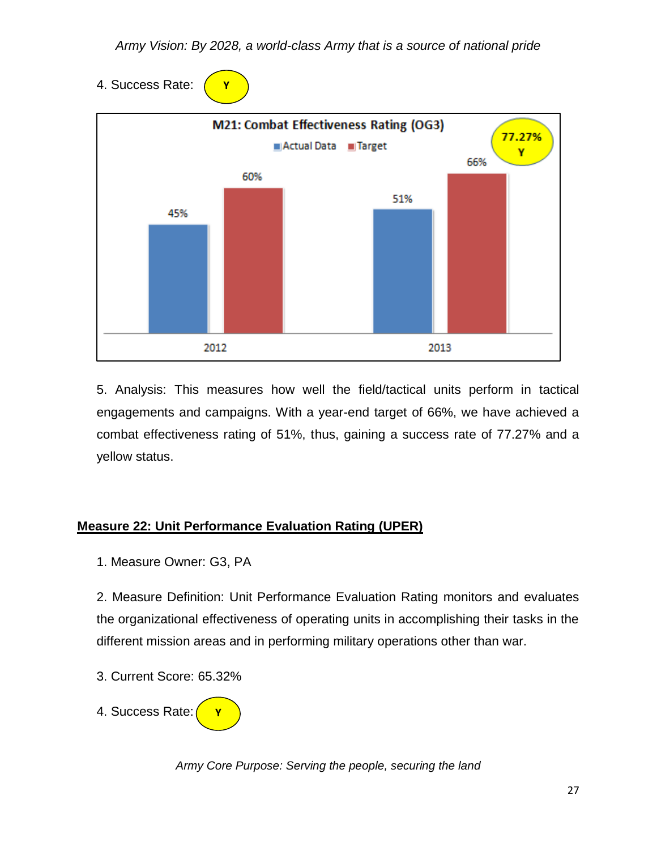4. Success Rate:

**Y**



5. Analysis: This measures how well the field/tactical units perform in tactical engagements and campaigns. With a year-end target of 66%, we have achieved a combat effectiveness rating of 51%, thus, gaining a success rate of 77.27% and a yellow status.

# **Measure 22: Unit Performance Evaluation Rating (UPER)**

1. Measure Owner: G3, PA

2. Measure Definition: Unit Performance Evaluation Rating monitors and evaluates the organizational effectiveness of operating units in accomplishing their tasks in the different mission areas and in performing military operations other than war.

3. Current Score: 65.32%

4. Success Rate: **Y**

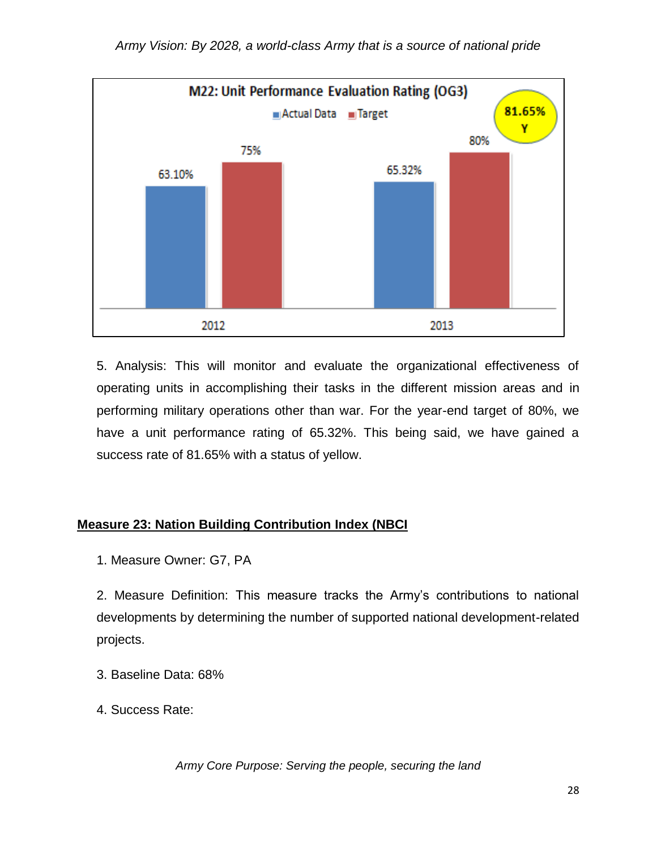

5. Analysis: This will monitor and evaluate the organizational effectiveness of operating units in accomplishing their tasks in the different mission areas and in performing military operations other than war. For the year-end target of 80%, we have a unit performance rating of 65.32%. This being said, we have gained a success rate of 81.65% with a status of yellow.

#### **Measure 23: Nation Building Contribution Index (NBCI**

1. Measure Owner: G7, PA

2. Measure Definition: This measure tracks the Army's contributions to national developments by determining the number of supported national development-related projects.

- 3. Baseline Data: 68%
- 4. Success Rate: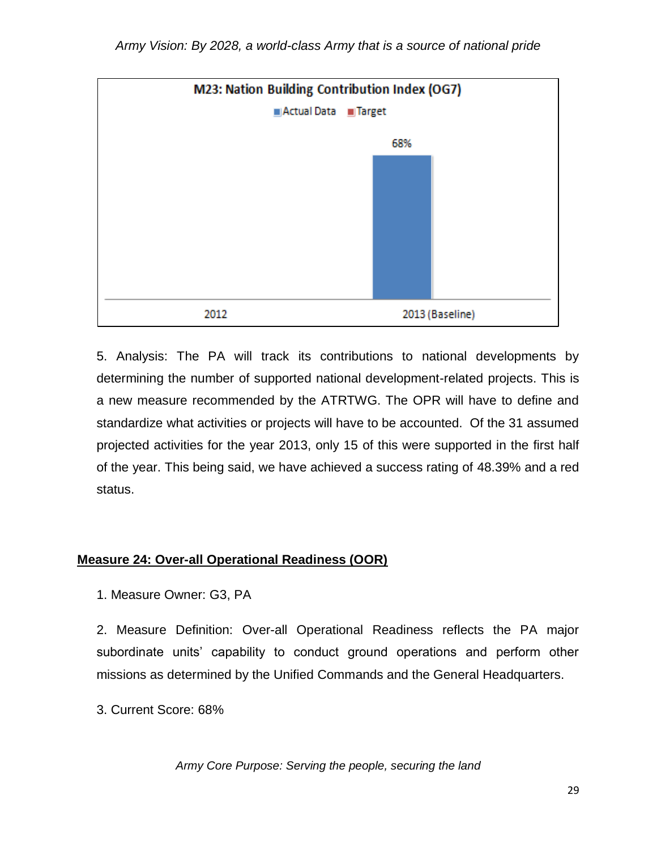

5. Analysis: The PA will track its contributions to national developments by determining the number of supported national development-related projects. This is a new measure recommended by the ATRTWG. The OPR will have to define and standardize what activities or projects will have to be accounted. Of the 31 assumed projected activities for the year 2013, only 15 of this were supported in the first half of the year. This being said, we have achieved a success rating of 48.39% and a red status.

## **Measure 24: Over-all Operational Readiness (OOR)**

1. Measure Owner: G3, PA

2. Measure Definition: Over-all Operational Readiness reflects the PA major subordinate units' capability to conduct ground operations and perform other missions as determined by the Unified Commands and the General Headquarters.

3. Current Score: 68%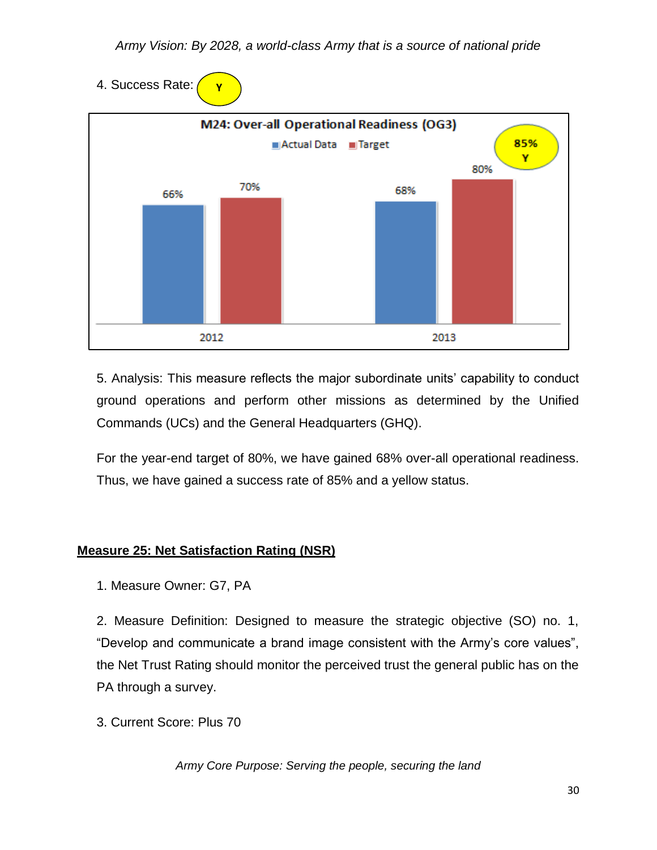4. Success Rate: **Y**



5. Analysis: This measure reflects the major subordinate units' capability to conduct ground operations and perform other missions as determined by the Unified Commands (UCs) and the General Headquarters (GHQ).

For the year-end target of 80%, we have gained 68% over-all operational readiness. Thus, we have gained a success rate of 85% and a yellow status.

# **Measure 25: Net Satisfaction Rating (NSR)**

1. Measure Owner: G7, PA

2. Measure Definition: Designed to measure the strategic objective (SO) no. 1, "Develop and communicate a brand image consistent with the Army's core values", the Net Trust Rating should monitor the perceived trust the general public has on the PA through a survey.

3. Current Score: Plus 70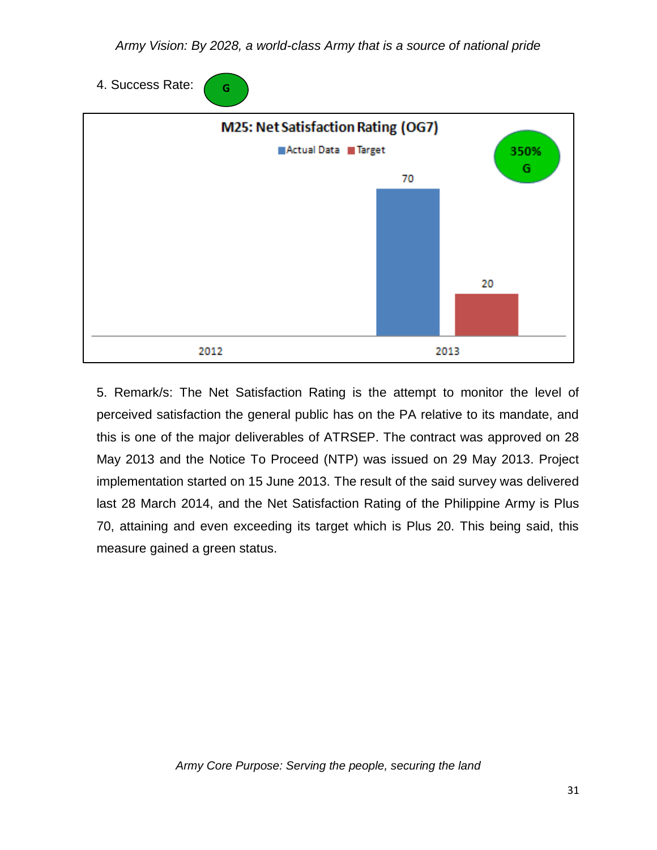4. Success Rate: **G**



5. Remark/s: The Net Satisfaction Rating is the attempt to monitor the level of perceived satisfaction the general public has on the PA relative to its mandate, and this is one of the major deliverables of ATRSEP. The contract was approved on 28 May 2013 and the Notice To Proceed (NTP) was issued on 29 May 2013. Project implementation started on 15 June 2013. The result of the said survey was delivered last 28 March 2014, and the Net Satisfaction Rating of the Philippine Army is Plus 70, attaining and even exceeding its target which is Plus 20. This being said, this measure gained a green status.